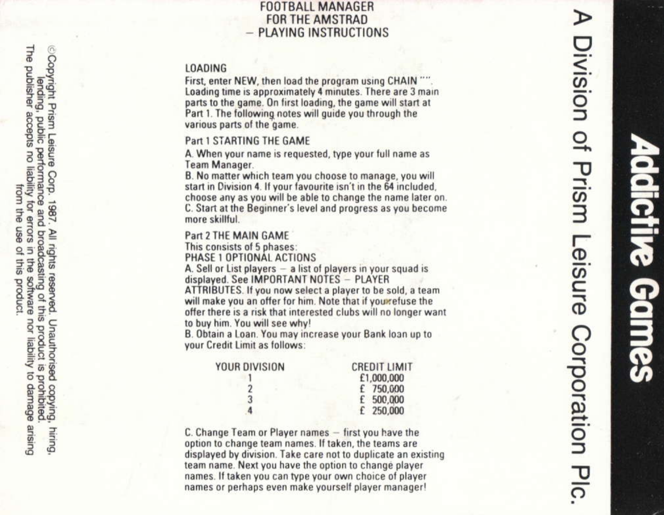# **FOOTBALL MANAGER FOR THE AMSTRAD PLAYING INSTRUCTIONS**

#### **LOADING**

First, enter NEW, then load the program using CHAIN Loading time is approximately 4 minutes. There are 3 main parts to the game. On first loading, the game will start at Part 1. The following notes will guide you through the various parts of the game.

#### Part 1 STARTING THE GAME

A. When your name is requested, type your full name as Team Manager.

B. No matter which team you choose to manage, you will start in Division 4. If your favourite isn't in the 64 included. choose any as you will be able to change the name later on. C. Start at the Beginner's level and progress as you become more skillful.

#### Part 2 THE MAIN GAME

This consists of 5 phases:

PHASE 1 OPTIONAL ACTIONS

A. Sell or List players  $-$  a list of players in your squad is displayed. See IMPORTANT NOTES - PLAYER

ATTRIBUTES. If you now select a player to be sold, a team will make you an offer for him. Note that if your efuse the offer there is a risk that interested clubs will no longer want to buy him. You will see why!

B. Obtain a Loan. You may increase your Bank loan up to your Credit Limit as follows:

| YOUR DIVISION           | <b>CREDIT LIMIT</b> |
|-------------------------|---------------------|
|                         | £1,000,000          |
| $\overline{\mathbf{2}}$ | £ 750,000           |
| 3                       | 500,000             |
| 4                       | 250,000             |

C. Change Team or Player names - first you have the option to change team names. If taken, the teams are displayed by division. Take care not to duplicate an existing team name. Next you have the option to change player names. If taken you can type your own choice of player names or perhaps even make yourself player manager!

Games